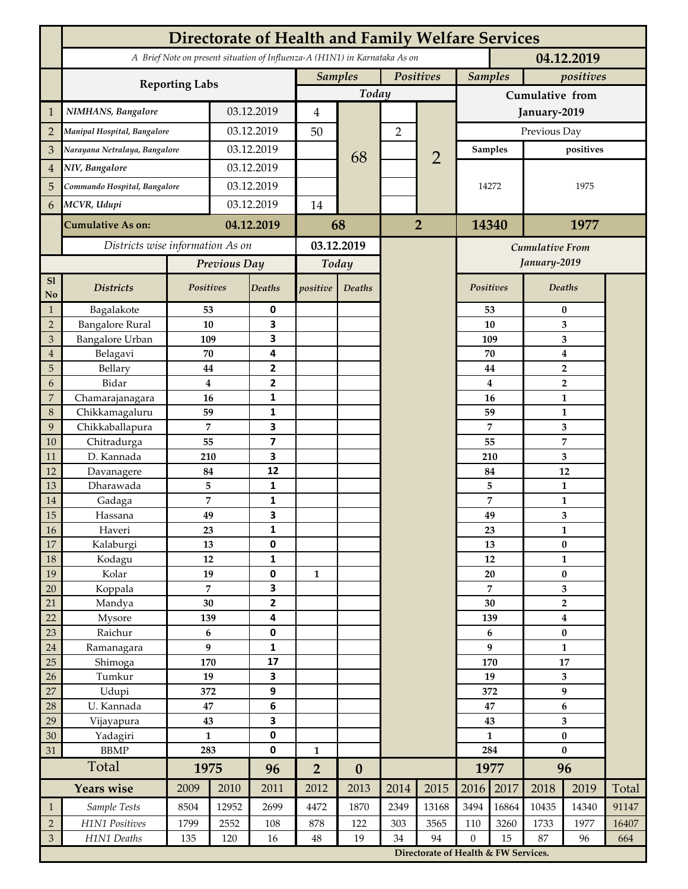|                 | <b>Directorate of Health and Family Welfare Services</b>                                 |                  |            |                         |                |                  |                |                                      |                 |                |                           |                                  |       |  |
|-----------------|------------------------------------------------------------------------------------------|------------------|------------|-------------------------|----------------|------------------|----------------|--------------------------------------|-----------------|----------------|---------------------------|----------------------------------|-------|--|
|                 | A Brief Note on present situation of Influenza-A (H1N1) in Karnataka As on<br>04.12.2019 |                  |            |                         |                |                  |                |                                      |                 |                |                           |                                  |       |  |
|                 | <b>Reporting Labs</b>                                                                    |                  |            |                         | <b>Samples</b> |                  | Positives      |                                      |                 | <b>Samples</b> |                           | positives                        |       |  |
|                 |                                                                                          |                  |            |                         | Today          |                  |                |                                      | Cumulative from |                |                           |                                  |       |  |
| $\mathbf{1}$    | NIMHANS, Bangalore                                                                       | 03.12.2019       |            | 4                       |                |                  |                | January-2019                         |                 |                |                           |                                  |       |  |
| $\overline{2}$  | Manipal Hospital, Bangalore                                                              |                  |            | 03.12.2019              |                |                  | $\overline{2}$ |                                      | Previous Day    |                |                           |                                  |       |  |
| 3               | Narayana Netralaya, Bangalore                                                            |                  |            | 03.12.2019              |                |                  |                | $\overline{2}$                       | Samples         |                | positives                 |                                  |       |  |
| $\overline{4}$  | NIV, Bangalore                                                                           |                  | 03.12.2019 |                         |                | 68               |                |                                      |                 |                |                           |                                  |       |  |
| 5               | Commando Hospital, Bangalore                                                             |                  | 03.12.2019 |                         |                |                  |                |                                      | 14272           |                | 1975                      |                                  |       |  |
| 6               | MCVR, Udupi                                                                              |                  | 03.12.2019 |                         | 14             |                  |                |                                      |                 |                |                           |                                  |       |  |
|                 |                                                                                          |                  |            | 04.12.2019              |                |                  | $\overline{2}$ |                                      | 14340           |                | 1977                      |                                  |       |  |
|                 | <b>Cumulative As on:</b>                                                                 |                  |            |                         | 68             |                  |                |                                      |                 |                |                           |                                  |       |  |
|                 | Districts wise information As on                                                         |                  |            | 03.12.2019              |                |                  |                | <b>Cumulative From</b>               |                 |                |                           |                                  |       |  |
|                 |                                                                                          | Previous Day     |            | Today                   |                |                  |                |                                      |                 | January-2019   |                           |                                  |       |  |
| S1<br>No        | <b>Districts</b>                                                                         | Positives        |            | <b>Deaths</b>           | positive       | Deaths           |                |                                      | Positives       |                |                           | Deaths                           |       |  |
| $\mathbf{1}$    | Bagalakote                                                                               | 53               |            | 0                       |                |                  |                |                                      | 53              |                | $\bf{0}$                  |                                  |       |  |
| $\overline{2}$  | <b>Bangalore Rural</b>                                                                   | 10               |            | 3                       |                |                  |                |                                      |                 | 10             | 3                         |                                  |       |  |
| 3               | <b>Bangalore Urban</b>                                                                   | 109              |            | 3                       |                |                  |                |                                      | 109             |                | 3                         |                                  |       |  |
| $\overline{4}$  | Belagavi                                                                                 | 70               |            | 4                       |                |                  |                |                                      |                 | 70             |                           | $\boldsymbol{4}$                 |       |  |
| 5<br>6          | Bellary<br>Bidar                                                                         | 44<br>$\bf{4}$   |            | 2<br>$\mathbf{2}$       |                |                  |                |                                      |                 | 44<br>4        |                           | $\overline{2}$<br>$\overline{2}$ |       |  |
| 7               | Chamarajanagara                                                                          | 16               |            | 1                       |                |                  |                |                                      |                 | 16             |                           | 1                                |       |  |
| 8               | Chikkamagaluru                                                                           | 59               |            | 1                       |                |                  |                |                                      |                 | 59             |                           | 1                                |       |  |
| 9               | Chikkaballapura                                                                          | 7                |            | 3                       |                |                  |                |                                      |                 | 7              |                           | 3                                |       |  |
| 10              | Chitradurga                                                                              | 55               |            | $\overline{\mathbf{z}}$ |                |                  |                |                                      |                 | 55             |                           | 7                                |       |  |
| 11              | D. Kannada                                                                               | 210              |            | 3                       |                |                  |                |                                      |                 | 210            |                           | 3                                |       |  |
| 12              | Davanagere                                                                               | 84               |            | 12                      |                |                  |                |                                      |                 | 84             |                           | 12                               |       |  |
| 13              | Dharawada                                                                                | 5                |            | $\mathbf{1}$            |                |                  |                |                                      | 5<br>7          |                |                           | $\mathbf{1}$                     |       |  |
| 14              | Gadaga                                                                                   | 7                |            | 1<br>3                  |                |                  |                |                                      |                 |                |                           | 1                                |       |  |
| 15<br><b>16</b> | Hassana<br>Haveri                                                                        | 49<br>23         |            | 1                       |                |                  |                |                                      |                 | 49<br>23       |                           | 3<br>1                           |       |  |
| 17              | Kalaburgi                                                                                | 13               |            | 0                       |                |                  |                |                                      |                 | 13             | $\pmb{0}$                 |                                  |       |  |
| 18              | Kodagu                                                                                   | 12               |            | $\mathbf{1}$            |                |                  |                |                                      |                 | 12             |                           | $\mathbf{1}$                     |       |  |
| 19              | Kolar                                                                                    | 19               |            | 0                       | $\mathbf{1}$   |                  |                |                                      |                 | 20             |                           | $\pmb{0}$                        |       |  |
| 20              | Koppala                                                                                  | $\overline{7}$   |            | 3                       |                |                  |                |                                      |                 | 7              |                           | 3                                |       |  |
| 21              | Mandya                                                                                   | $30\,$           |            | $\overline{\mathbf{2}}$ |                |                  |                |                                      | 30              |                | $\mathbf 2$               |                                  |       |  |
| 22              | Mysore                                                                                   | 139              |            | 4                       |                |                  |                |                                      |                 | 139            | $\boldsymbol{4}$          |                                  |       |  |
| 23              | Raichur                                                                                  | $\bf 6$<br>9     |            | $\pmb{0}$               |                |                  |                |                                      | 6<br>9          |                | $\pmb{0}$<br>$\mathbf{1}$ |                                  |       |  |
| $24\,$<br>25    | Ramanagara<br>Shimoga                                                                    | 170              |            | 1<br>17                 |                |                  |                |                                      | 170             |                | 17                        |                                  |       |  |
| 26              | Tumkur                                                                                   | 19               |            | 3                       |                |                  |                |                                      |                 | 19             |                           | 3                                |       |  |
| 27              | Udupi                                                                                    | 372              |            | 9                       |                |                  |                |                                      | 372             |                | 9                         |                                  |       |  |
| 28              | U. Kannada                                                                               | $\bf 47$         |            | $\bf 6$                 |                |                  |                |                                      | 47              |                | $\bf 6$                   |                                  |       |  |
| 29              | Vijayapura                                                                               | 43               |            | 3                       |                |                  |                |                                      | 43              |                | 3                         |                                  |       |  |
| 30              | Yadagiri                                                                                 | $\mathbf{1}$     |            | 0                       |                |                  |                |                                      | $\mathbf{1}$    |                | $\pmb{0}$                 |                                  |       |  |
| 31              | <b>BBMP</b>                                                                              | 283              |            | 0                       | $\mathbf{1}$   |                  |                |                                      | 284             |                | $\bf{0}$                  |                                  |       |  |
|                 | Total                                                                                    | 1975             |            | 96                      | $\overline{2}$ | $\boldsymbol{0}$ |                |                                      | 1977            |                | 96                        |                                  |       |  |
|                 | <b>Years wise</b>                                                                        | 2009             | 2010       | 2011                    | 2012           | 2013             | 2014           | 2015                                 | 2016            | 2017           | 2018                      | 2019                             | Total |  |
| $\mathbf{1}$    | Sample Tests                                                                             | 8504             | 12952      | 2699                    | 4472           | 1870             | 2349           | 13168                                | 3494            | 16864          | 10435                     | 14340                            | 91147 |  |
| $\overline{2}$  | H1N1 Positives                                                                           | 1799             | 2552       | 108                     | 878            | 122              | 303            | 3565                                 | 110             | 3260           | 1733                      | 1977                             | 16407 |  |
| $\mathfrak{Z}$  | H1N1 Deaths                                                                              | 135<br>120<br>16 |            | $48\,$                  | 19             | 34               | 94             | $\boldsymbol{0}$<br>15               |                 | 87<br>96       |                           | 664                              |       |  |
|                 |                                                                                          |                  |            |                         |                |                  |                | Directorate of Health & FW Services. |                 |                |                           |                                  |       |  |